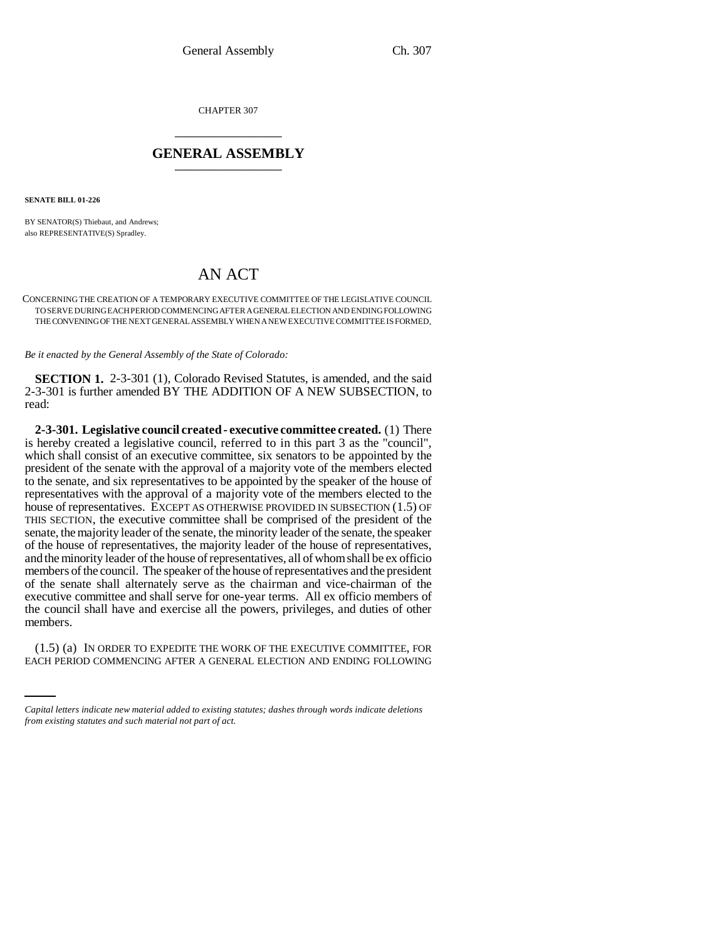CHAPTER 307 \_\_\_\_\_\_\_\_\_\_\_\_\_\_\_

## **GENERAL ASSEMBLY** \_\_\_\_\_\_\_\_\_\_\_\_\_\_\_

**SENATE BILL 01-226**

BY SENATOR(S) Thiebaut, and Andrews; also REPRESENTATIVE(S) Spradley.

## AN ACT

CONCERNING THE CREATION OF A TEMPORARY EXECUTIVE COMMITTEE OF THE LEGISLATIVE COUNCIL TO SERVE DURING EACH PERIOD COMMENCING AFTER A GENERAL ELECTION AND ENDING FOLLOWING THE CONVENING OF THE NEXT GENERAL ASSEMBLY WHEN A NEW EXECUTIVE COMMITTEE IS FORMED.

*Be it enacted by the General Assembly of the State of Colorado:*

**SECTION 1.** 2-3-301 (1), Colorado Revised Statutes, is amended, and the said 2-3-301 is further amended BY THE ADDITION OF A NEW SUBSECTION, to read:

**2-3-301. Legislative council created - executive committee created.** (1) There is hereby created a legislative council, referred to in this part 3 as the "council", which shall consist of an executive committee, six senators to be appointed by the president of the senate with the approval of a majority vote of the members elected to the senate, and six representatives to be appointed by the speaker of the house of representatives with the approval of a majority vote of the members elected to the house of representatives. EXCEPT AS OTHERWISE PROVIDED IN SUBSECTION (1.5) OF THIS SECTION, the executive committee shall be comprised of the president of the senate, the majority leader of the senate, the minority leader of the senate, the speaker of the house of representatives, the majority leader of the house of representatives, and the minority leader of the house of representatives, all of whom shall be ex officio members of the council. The speaker of the house of representatives and the president of the senate shall alternately serve as the chairman and vice-chairman of the executive committee and shall serve for one-year terms. All ex officio members of the council shall have and exercise all the powers, privileges, and duties of other members.

(1.5) (a) IN ORDER TO EXPEDITE THE WORK OF THE EXECUTIVE COMMITTEE, FOR EACH PERIOD COMMENCING AFTER A GENERAL ELECTION AND ENDING FOLLOWING

*Capital letters indicate new material added to existing statutes; dashes through words indicate deletions from existing statutes and such material not part of act.*